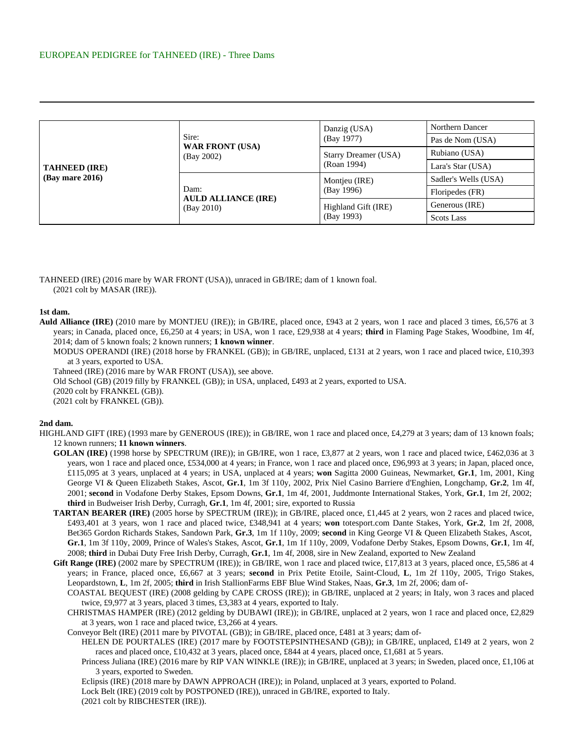| <b>TAHNEED (IRE)</b><br>$(Bav$ mare 2016) |                                                  | Danzig (USA)                        | Northern Dancer      |
|-------------------------------------------|--------------------------------------------------|-------------------------------------|----------------------|
|                                           | Sire:<br><b>WAR FRONT (USA)</b><br>(Bay 2002)    | (Bay 1977)                          | Pas de Nom (USA)     |
|                                           |                                                  | Starry Dreamer (USA)<br>(Roan 1994) | Rubiano (USA)        |
|                                           |                                                  |                                     | Lara's Star (USA)    |
|                                           | Dam:<br><b>AULD ALLIANCE (IRE)</b><br>(Bay 2010) | Montjeu (IRE)<br>(Bay 1996)         | Sadler's Wells (USA) |
|                                           |                                                  |                                     | Floripedes (FR)      |
|                                           |                                                  | Highland Gift (IRE)<br>(Bay 1993)   | Generous (IRE)       |
|                                           |                                                  |                                     | <b>Scots Lass</b>    |

TAHNEED (IRE) (2016 mare by WAR FRONT (USA)), unraced in GB/IRE; dam of 1 known foal. (2021 colt by MASAR (IRE)).

## **1st dam.**

**Auld Alliance (IRE)** (2010 mare by MONTJEU (IRE)); in GB/IRE, placed once, £943 at 2 years, won 1 race and placed 3 times, £6,576 at 3 years; in Canada, placed once, £6,250 at 4 years; in USA, won 1 race, £29,938 at 4 years; **third** in Flaming Page Stakes, Woodbine, 1m 4f, 2014; dam of 5 known foals; 2 known runners; **1 known winner**.

MODUS OPERANDI (IRE) (2018 horse by FRANKEL (GB)); in GB/IRE, unplaced, £131 at 2 years, won 1 race and placed twice, £10,393 at 3 years, exported to USA.

Tahneed (IRE) (2016 mare by WAR FRONT (USA)), see above.

Old School (GB) (2019 filly by FRANKEL (GB)); in USA, unplaced, £493 at 2 years, exported to USA.

(2020 colt by FRANKEL (GB)).

(2021 colt by FRANKEL (GB)).

## **2nd dam.**

HIGHLAND GIFT (IRE) (1993 mare by GENEROUS (IRE)); in GB/IRE, won 1 race and placed once, £4,279 at 3 years; dam of 13 known foals; 12 known runners; **11 known winners**.

- **GOLAN (IRE)** (1998 horse by SPECTRUM (IRE)); in GB/IRE, won 1 race, £3,877 at 2 years, won 1 race and placed twice, £462,036 at 3 years, won 1 race and placed once, £534,000 at 4 years; in France, won 1 race and placed once, £96,993 at 3 years; in Japan, placed once, £115,095 at 3 years, unplaced at 4 years; in USA, unplaced at 4 years; **won** Sagitta 2000 Guineas, Newmarket, **Gr.1**, 1m, 2001, King George VI & Queen Elizabeth Stakes, Ascot, **Gr.1**, 1m 3f 110y, 2002, Prix Niel Casino Barriere d'Enghien, Longchamp, **Gr.2**, 1m 4f, 2001; **second** in Vodafone Derby Stakes, Epsom Downs, **Gr.1**, 1m 4f, 2001, Juddmonte International Stakes, York, **Gr.1**, 1m 2f, 2002; **third** in Budweiser Irish Derby, Curragh, **Gr.1**, 1m 4f, 2001; sire, exported to Russia
- **TARTAN BEARER (IRE)** (2005 horse by SPECTRUM (IRE)); in GB/IRE, placed once, £1,445 at 2 years, won 2 races and placed twice, £493,401 at 3 years, won 1 race and placed twice, £348,941 at 4 years; **won** totesport.com Dante Stakes, York, **Gr.2**, 1m 2f, 2008, Bet365 Gordon Richards Stakes, Sandown Park, **Gr.3**, 1m 1f 110y, 2009; **second** in King George VI & Queen Elizabeth Stakes, Ascot, **Gr.1**, 1m 3f 110y, 2009, Prince of Wales's Stakes, Ascot, **Gr.1**, 1m 1f 110y, 2009, Vodafone Derby Stakes, Epsom Downs, **Gr.1**, 1m 4f, 2008; **third** in Dubai Duty Free Irish Derby, Curragh, **Gr.1**, 1m 4f, 2008, sire in New Zealand, exported to New Zealand
- Gift Range (IRE) (2002 mare by SPECTRUM (IRE)); in GB/IRE, won 1 race and placed twice, £17,813 at 3 years, placed once, £5,586 at 4 years; in France, placed once, £6,667 at 3 years; **second** in Prix Petite Etoile, Saint-Cloud, **L**, 1m 2f 110y, 2005, Trigo Stakes, Leopardstown, **L**, 1m 2f, 2005; **third** in Irish StallionFarms EBF Blue Wind Stakes, Naas, **Gr.3**, 1m 2f, 2006; dam of-

COASTAL BEQUEST (IRE) (2008 gelding by CAPE CROSS (IRE)); in GB/IRE, unplaced at 2 years; in Italy, won 3 races and placed twice, £9,977 at 3 years, placed 3 times, £3,383 at 4 years, exported to Italy.

CHRISTMAS HAMPER (IRE) (2012 gelding by DUBAWI (IRE)); in GB/IRE, unplaced at 2 years, won 1 race and placed once, £2,829 at 3 years, won 1 race and placed twice, £3,266 at 4 years.

Conveyor Belt (IRE) (2011 mare by PIVOTAL (GB)); in GB/IRE, placed once, £481 at 3 years; dam of-

- HELEN DE POURTALES (IRE) (2017 mare by FOOTSTEPSINTHESAND (GB)); in GB/IRE, unplaced, £149 at 2 years, won 2 races and placed once, £10,432 at 3 years, placed once, £844 at 4 years, placed once, £1,681 at 5 years.
	- Princess Juliana (IRE) (2016 mare by RIP VAN WINKLE (IRE)); in GB/IRE, unplaced at 3 years; in Sweden, placed once, £1,106 at 3 years, exported to Sweden.

Eclipsis (IRE) (2018 mare by DAWN APPROACH (IRE)); in Poland, unplaced at 3 years, exported to Poland.

Lock Belt (IRE) (2019 colt by POSTPONED (IRE)), unraced in GB/IRE, exported to Italy.

(2021 colt by RIBCHESTER (IRE)).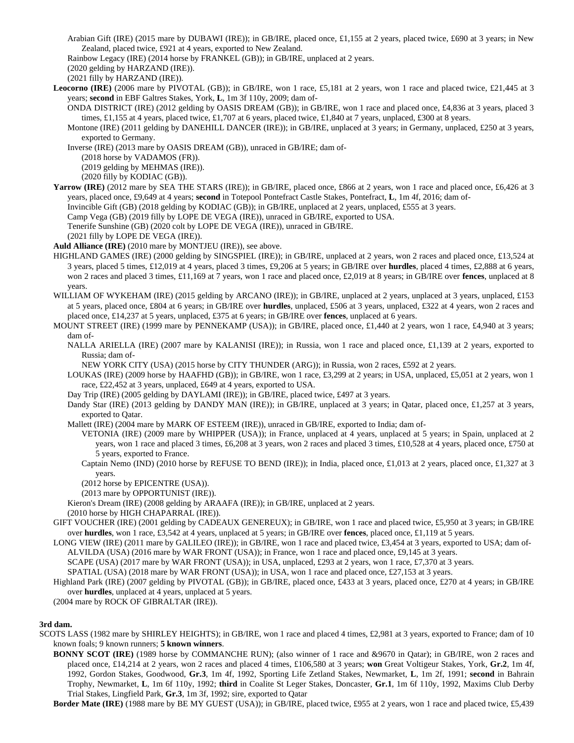Arabian Gift (IRE) (2015 mare by DUBAWI (IRE)); in GB/IRE, placed once, £1,155 at 2 years, placed twice, £690 at 3 years; in New Zealand, placed twice, £921 at 4 years, exported to New Zealand.

Rainbow Legacy (IRE) (2014 horse by FRANKEL (GB)); in GB/IRE, unplaced at 2 years.

(2020 gelding by HARZAND (IRE)).

(2021 filly by HARZAND (IRE)).

Leocorno (IRE) (2006 mare by PIVOTAL (GB)); in GB/IRE, won 1 race, £5,181 at 2 years, won 1 race and placed twice, £21,445 at 3 years; **second** in EBF Galtres Stakes, York, **L**, 1m 3f 110y, 2009; dam of-

- ONDA DISTRICT (IRE) (2012 gelding by OASIS DREAM (GB)); in GB/IRE, won 1 race and placed once, £4,836 at 3 years, placed 3 times, £1,155 at 4 years, placed twice, £1,707 at 6 years, placed twice, £1,840 at 7 years, unplaced, £300 at 8 years.
- Montone (IRE) (2011 gelding by DANEHILL DANCER (IRE)); in GB/IRE, unplaced at 3 years; in Germany, unplaced, £250 at 3 years, exported to Germany.
- Inverse (IRE) (2013 mare by OASIS DREAM (GB)), unraced in GB/IRE; dam of-

(2018 horse by VADAMOS (FR)).

(2019 gelding by MEHMAS (IRE)).

(2020 filly by KODIAC (GB)).

**Yarrow (IRE)** (2012 mare by SEA THE STARS (IRE)); in GB/IRE, placed once, £866 at 2 years, won 1 race and placed once, £6,426 at 3 years, placed once, £9,649 at 4 years; **second** in Totepool Pontefract Castle Stakes, Pontefract, **L**, 1m 4f, 2016; dam of-

Invincible Gift (GB) (2018 gelding by KODIAC (GB)); in GB/IRE, unplaced at 2 years, unplaced, £555 at 3 years.

Camp Vega (GB) (2019 filly by LOPE DE VEGA (IRE)), unraced in GB/IRE, exported to USA.

Tenerife Sunshine (GB) (2020 colt by LOPE DE VEGA (IRE)), unraced in GB/IRE.

(2021 filly by LOPE DE VEGA (IRE)).

**Auld Alliance (IRE)** (2010 mare by MONTJEU (IRE)), see above.

- HIGHLAND GAMES (IRE) (2000 gelding by SINGSPIEL (IRE)); in GB/IRE, unplaced at 2 years, won 2 races and placed once, £13,524 at 3 years, placed 5 times, £12,019 at 4 years, placed 3 times, £9,206 at 5 years; in GB/IRE over **hurdles**, placed 4 times, £2,888 at 6 years, won 2 races and placed 3 times, £11,169 at 7 years, won 1 race and placed once, £2,019 at 8 years; in GB/IRE over **fences**, unplaced at 8 years.
- WILLIAM OF WYKEHAM (IRE) (2015 gelding by ARCANO (IRE)); in GB/IRE, unplaced at 2 years, unplaced at 3 years, unplaced, £153 at 5 years, placed once, £804 at 6 years; in GB/IRE over **hurdles**, unplaced, £506 at 3 years, unplaced, £322 at 4 years, won 2 races and placed once, £14,237 at 5 years, unplaced, £375 at 6 years; in GB/IRE over **fences**, unplaced at 6 years.
- MOUNT STREET (IRE) (1999 mare by PENNEKAMP (USA)); in GB/IRE, placed once, £1,440 at 2 years, won 1 race, £4,940 at 3 years; dam of-
	- NALLA ARIELLA (IRE) (2007 mare by KALANISI (IRE)); in Russia, won 1 race and placed once, £1,139 at 2 years, exported to Russia; dam of-

NEW YORK CITY (USA) (2015 horse by CITY THUNDER (ARG)); in Russia, won 2 races, £592 at 2 years.

LOUKAS (IRE) (2009 horse by HAAFHD (GB)); in GB/IRE, won 1 race, £3,299 at 2 years; in USA, unplaced, £5,051 at 2 years, won 1 race, £22,452 at 3 years, unplaced, £649 at 4 years, exported to USA.

Day Trip (IRE) (2005 gelding by DAYLAMI (IRE)); in GB/IRE, placed twice, £497 at 3 years.

Dandy Star (IRE) (2013 gelding by DANDY MAN (IRE)); in GB/IRE, unplaced at 3 years; in Qatar, placed once, £1,257 at 3 years, exported to Qatar.

Mallett (IRE) (2004 mare by MARK OF ESTEEM (IRE)), unraced in GB/IRE, exported to India; dam of-

- VETONIA (IRE) (2009 mare by WHIPPER (USA)); in France, unplaced at 4 years, unplaced at 5 years; in Spain, unplaced at 2 years, won 1 race and placed 3 times, £6,208 at 3 years, won 2 races and placed 3 times, £10,528 at 4 years, placed once, £750 at 5 years, exported to France.
- Captain Nemo (IND) (2010 horse by REFUSE TO BEND (IRE)); in India, placed once, £1,013 at 2 years, placed once, £1,327 at 3 years.
- (2012 horse by EPICENTRE (USA)).

(2013 mare by OPPORTUNIST (IRE)).

Kieron's Dream (IRE) (2008 gelding by ARAAFA (IRE)); in GB/IRE, unplaced at 2 years.

(2010 horse by HIGH CHAPARRAL (IRE)).

- GIFT VOUCHER (IRE) (2001 gelding by CADEAUX GENEREUX); in GB/IRE, won 1 race and placed twice, £5,950 at 3 years; in GB/IRE over **hurdles**, won 1 race, £3,542 at 4 years, unplaced at 5 years; in GB/IRE over **fences**, placed once, £1,119 at 5 years.
- LONG VIEW (IRE) (2011 mare by GALILEO (IRE)); in GB/IRE, won 1 race and placed twice, £3,454 at 3 years, exported to USA; dam of-ALVILDA (USA) (2016 mare by WAR FRONT (USA)); in France, won 1 race and placed once, £9,145 at 3 years.
	- SCAPE (USA) (2017 mare by WAR FRONT (USA)); in USA, unplaced, £293 at 2 years, won 1 race, £7,370 at 3 years.

SPATIAL (USA) (2018 mare by WAR FRONT (USA)); in USA, won 1 race and placed once, £27,153 at 3 years.

Highland Park (IRE) (2007 gelding by PIVOTAL (GB)); in GB/IRE, placed once, £433 at 3 years, placed once, £270 at 4 years; in GB/IRE over **hurdles**, unplaced at 4 years, unplaced at 5 years.

(2004 mare by ROCK OF GIBRALTAR (IRE)).

## **3rd dam.**

- SCOTS LASS (1982 mare by SHIRLEY HEIGHTS); in GB/IRE, won 1 race and placed 4 times, £2,981 at 3 years, exported to France; dam of 10 known foals; 9 known runners; **5 known winners**.
	- **BONNY SCOT (IRE)** (1989 horse by COMMANCHE RUN); (also winner of 1 race and &9670 in Qatar); in GB/IRE, won 2 races and placed once, £14,214 at 2 years, won 2 races and placed 4 times, £106,580 at 3 years; **won** Great Voltigeur Stakes, York, **Gr.2**, 1m 4f, 1992, Gordon Stakes, Goodwood, **Gr.3**, 1m 4f, 1992, Sporting Life Zetland Stakes, Newmarket, **L**, 1m 2f, 1991; **second** in Bahrain Trophy, Newmarket, **L**, 1m 6f 110y, 1992; **third** in Coalite St Leger Stakes, Doncaster, **Gr.1**, 1m 6f 110y, 1992, Maxims Club Derby Trial Stakes, Lingfield Park, **Gr.3**, 1m 3f, 1992; sire, exported to Qatar

**Border Mate (IRE)** (1988 mare by BE MY GUEST (USA)); in GB/IRE, placed twice, £955 at 2 years, won 1 race and placed twice, £5,439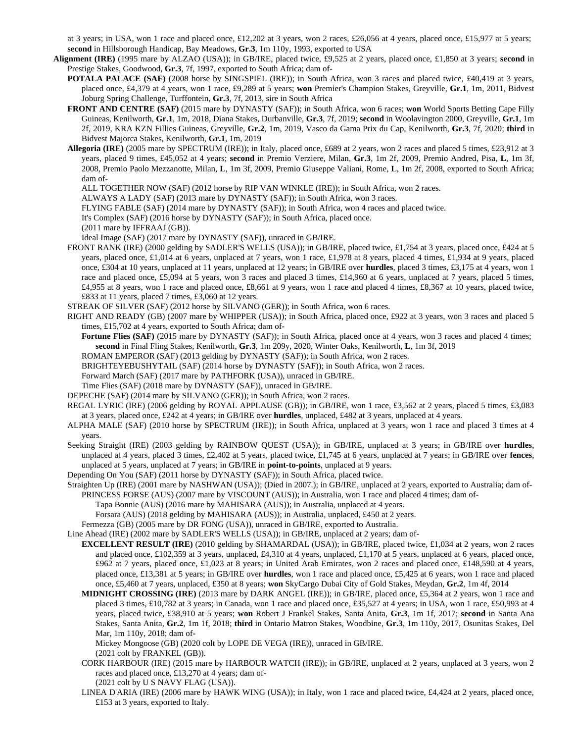at 3 years; in USA, won 1 race and placed once, £12,202 at 3 years, won 2 races, £26,056 at 4 years, placed once, £15,977 at 5 years; **second** in Hillsborough Handicap, Bay Meadows, **Gr.3**, 1m 110y, 1993, exported to USA

**Alignment (IRE)** (1995 mare by ALZAO (USA)); in GB/IRE, placed twice, £9,525 at 2 years, placed once, £1,850 at 3 years; **second** in Prestige Stakes, Goodwood, **Gr.3**, 7f, 1997, exported to South Africa; dam of-

**POTALA PALACE (SAF)** (2008 horse by SINGSPIEL (IRE)); in South Africa, won 3 races and placed twice, £40,419 at 3 years, placed once, £4,379 at 4 years, won 1 race, £9,289 at 5 years; **won** Premier's Champion Stakes, Greyville, **Gr.1**, 1m, 2011, Bidvest Joburg Spring Challenge, Turffontein, **Gr.3**, 7f, 2013, sire in South Africa

- **FRONT AND CENTRE (SAF)** (2015 mare by DYNASTY (SAF)); in South Africa, won 6 races; **won** World Sports Betting Cape Filly Guineas, Kenilworth, **Gr.1**, 1m, 2018, Diana Stakes, Durbanville, **Gr.3**, 7f, 2019; **second** in Woolavington 2000, Greyville, **Gr.1**, 1m 2f, 2019, KRA KZN Fillies Guineas, Greyville, **Gr.2**, 1m, 2019, Vasco da Gama Prix du Cap, Kenilworth, **Gr.3**, 7f, 2020; **third** in Bidvest Majorca Stakes, Kenilworth, **Gr.1**, 1m, 2019
- **Allegoria (IRE)** (2005 mare by SPECTRUM (IRE)); in Italy, placed once, £689 at 2 years, won 2 races and placed 5 times, £23,912 at 3 years, placed 9 times, £45,052 at 4 years; **second** in Premio Verziere, Milan, **Gr.3**, 1m 2f, 2009, Premio Andred, Pisa, **L**, 1m 3f, 2008, Premio Paolo Mezzanotte, Milan, **L**, 1m 3f, 2009, Premio Giuseppe Valiani, Rome, **L**, 1m 2f, 2008, exported to South Africa; dam of-

ALL TOGETHER NOW (SAF) (2012 horse by RIP VAN WINKLE (IRE)); in South Africa, won 2 races.

ALWAYS A LADY (SAF) (2013 mare by DYNASTY (SAF)); in South Africa, won 3 races.

FLYING FABLE (SAF) (2014 mare by DYNASTY (SAF)); in South Africa, won 4 races and placed twice.

It's Complex (SAF) (2016 horse by DYNASTY (SAF)); in South Africa, placed once.

(2011 mare by IFFRAAJ (GB)).

Ideal Image (SAF) (2017 mare by DYNASTY (SAF)), unraced in GB/IRE.

- FRONT RANK (IRE) (2000 gelding by SADLER'S WELLS (USA)); in GB/IRE, placed twice, £1,754 at 3 years, placed once, £424 at 5 years, placed once, £1,014 at 6 years, unplaced at 7 years, won 1 race, £1,978 at 8 years, placed 4 times, £1,934 at 9 years, placed once, £304 at 10 years, unplaced at 11 years, unplaced at 12 years; in GB/IRE over **hurdles**, placed 3 times, £3,175 at 4 years, won 1 race and placed once, £5,094 at 5 years, won 3 races and placed 3 times, £14,960 at 6 years, unplaced at 7 years, placed 5 times, £4,955 at 8 years, won 1 race and placed once, £8,661 at 9 years, won 1 race and placed 4 times, £8,367 at 10 years, placed twice, £833 at 11 years, placed 7 times, £3,060 at 12 years.
- STREAK OF SILVER (SAF) (2012 horse by SILVANO (GER)); in South Africa, won 6 races.
- RIGHT AND READY (GB) (2007 mare by WHIPPER (USA)); in South Africa, placed once, £922 at 3 years, won 3 races and placed 5 times, £15,702 at 4 years, exported to South Africa; dam of-
	- **Fortune Flies (SAF)** (2015 mare by DYNASTY (SAF)); in South Africa, placed once at 4 years, won 3 races and placed 4 times; **second** in Final Fling Stakes, Kenilworth, **Gr.3**, 1m 209y, 2020, Winter Oaks, Kenilworth, **L**, 1m 3f, 2019

ROMAN EMPEROR (SAF) (2013 gelding by DYNASTY (SAF)); in South Africa, won 2 races.

BRIGHTEYEBUSHYTAIL (SAF) (2014 horse by DYNASTY (SAF)); in South Africa, won 2 races.

Forward March (SAF) (2017 mare by PATHFORK (USA)), unraced in GB/IRE.

Time Flies (SAF) (2018 mare by DYNASTY (SAF)), unraced in GB/IRE.

- DEPECHE (SAF) (2014 mare by SILVANO (GER)); in South Africa, won 2 races.
- REGAL LYRIC (IRE) (2006 gelding by ROYAL APPLAUSE (GB)); in GB/IRE, won 1 race, £3,562 at 2 years, placed 5 times, £3,083 at 3 years, placed once, £242 at 4 years; in GB/IRE over **hurdles**, unplaced, £482 at 3 years, unplaced at 4 years.
- ALPHA MALE (SAF) (2010 horse by SPECTRUM (IRE)); in South Africa, unplaced at 3 years, won 1 race and placed 3 times at 4 years.
- Seeking Straight (IRE) (2003 gelding by RAINBOW QUEST (USA)); in GB/IRE, unplaced at 3 years; in GB/IRE over **hurdles**, unplaced at 4 years, placed 3 times, £2,402 at 5 years, placed twice, £1,745 at 6 years, unplaced at 7 years; in GB/IRE over **fences**, unplaced at 5 years, unplaced at 7 years; in GB/IRE in **point-to-points**, unplaced at 9 years.
- Depending On You (SAF) (2011 horse by DYNASTY (SAF)); in South Africa, placed twice.
- Straighten Up (IRE) (2001 mare by NASHWAN (USA)); (Died in 2007.); in GB/IRE, unplaced at 2 years, exported to Australia; dam of-PRINCESS FORSE (AUS) (2007 mare by VISCOUNT (AUS)); in Australia, won 1 race and placed 4 times; dam of-
	- Tapa Bonnie (AUS) (2016 mare by MAHISARA (AUS)); in Australia, unplaced at 4 years.

Forsara (AUS) (2018 gelding by MAHISARA (AUS)); in Australia, unplaced, £450 at 2 years.

Fermezza (GB) (2005 mare by DR FONG (USA)), unraced in GB/IRE, exported to Australia.

Line Ahead (IRE) (2002 mare by SADLER'S WELLS (USA)); in GB/IRE, unplaced at 2 years; dam of-

- **EXCELLENT RESULT (IRE)** (2010 gelding by SHAMARDAL (USA)); in GB/IRE, placed twice, £1,034 at 2 years, won 2 races and placed once, £102,359 at 3 years, unplaced, £4,310 at 4 years, unplaced, £1,170 at 5 years, unplaced at 6 years, placed once, £962 at 7 years, placed once, £1,023 at 8 years; in United Arab Emirates, won 2 races and placed once, £148,590 at 4 years, placed once, £13,381 at 5 years; in GB/IRE over **hurdles**, won 1 race and placed once, £5,425 at 6 years, won 1 race and placed once, £5,460 at 7 years, unplaced, £350 at 8 years; **won** SkyCargo Dubai City of Gold Stakes, Meydan, **Gr.2**, 1m 4f, 2014
- **MIDNIGHT CROSSING (IRE)** (2013 mare by DARK ANGEL (IRE)); in GB/IRE, placed once, £5,364 at 2 years, won 1 race and placed 3 times, £10,782 at 3 years; in Canada, won 1 race and placed once, £35,527 at 4 years; in USA, won 1 race, £50,993 at 4 years, placed twice, £38,910 at 5 years; **won** Robert J Frankel Stakes, Santa Anita, **Gr.3**, 1m 1f, 2017; **second** in Santa Ana Stakes, Santa Anita, **Gr.2**, 1m 1f, 2018; **third** in Ontario Matron Stakes, Woodbine, **Gr.3**, 1m 110y, 2017, Osunitas Stakes, Del Mar, 1m 110y, 2018; dam of-

Mickey Mongoose (GB) (2020 colt by LOPE DE VEGA (IRE)), unraced in GB/IRE.

(2021 colt by FRANKEL (GB)).

CORK HARBOUR (IRE) (2015 mare by HARBOUR WATCH (IRE)); in GB/IRE, unplaced at 2 years, unplaced at 3 years, won 2 races and placed once, £13,270 at 4 years; dam of-

(2021 colt by U S NAVY FLAG (USA)).

LINEA D'ARIA (IRE) (2006 mare by HAWK WING (USA)); in Italy, won 1 race and placed twice, £4,424 at 2 years, placed once, £153 at 3 years, exported to Italy.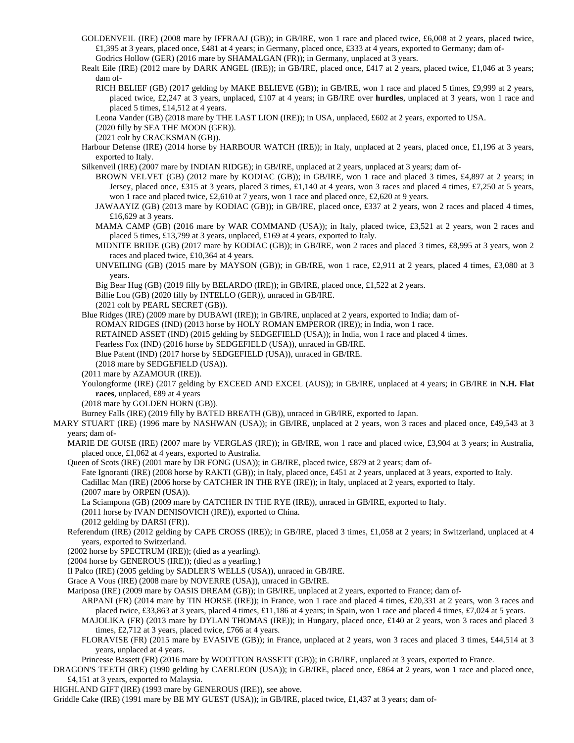- GOLDENVEIL (IRE) (2008 mare by IFFRAAJ (GB)); in GB/IRE, won 1 race and placed twice, £6,008 at 2 years, placed twice, £1,395 at 3 years, placed once, £481 at 4 years; in Germany, placed once, £333 at 4 years, exported to Germany; dam of-Godrics Hollow (GER) (2016 mare by SHAMALGAN (FR)); in Germany, unplaced at 3 years.
- Realt Eile (IRE) (2012 mare by DARK ANGEL (IRE)); in GB/IRE, placed once, £417 at 2 years, placed twice, £1,046 at 3 years; dam of-
	- RICH BELIEF (GB) (2017 gelding by MAKE BELIEVE (GB)); in GB/IRE, won 1 race and placed 5 times, £9,999 at 2 years, placed twice, £2,247 at 3 years, unplaced, £107 at 4 years; in GB/IRE over **hurdles**, unplaced at 3 years, won 1 race and placed 5 times, £14,512 at 4 years.
	- Leona Vander (GB) (2018 mare by THE LAST LION (IRE)); in USA, unplaced, £602 at 2 years, exported to USA.
	- (2020 filly by SEA THE MOON (GER)).
	- (2021 colt by CRACKSMAN (GB)).
- Harbour Defense (IRE) (2014 horse by HARBOUR WATCH (IRE)); in Italy, unplaced at 2 years, placed once, £1,196 at 3 years, exported to Italy.
- Silkenveil (IRE) (2007 mare by INDIAN RIDGE); in GB/IRE, unplaced at 2 years, unplaced at 3 years; dam of-
	- BROWN VELVET (GB) (2012 mare by KODIAC (GB)); in GB/IRE, won 1 race and placed 3 times, £4,897 at 2 years; in Jersey, placed once, £315 at 3 years, placed 3 times, £1,140 at 4 years, won 3 races and placed 4 times, £7,250 at 5 years, won 1 race and placed twice, £2,610 at 7 years, won 1 race and placed once, £2,620 at 9 years.
	- JAWAAYIZ (GB) (2013 mare by KODIAC (GB)); in GB/IRE, placed once, £337 at 2 years, won 2 races and placed 4 times, £16,629 at 3 years.
	- MAMA CAMP (GB) (2016 mare by WAR COMMAND (USA)); in Italy, placed twice, £3,521 at 2 years, won 2 races and placed 5 times, £13,799 at 3 years, unplaced, £169 at 4 years, exported to Italy.
	- MIDNITE BRIDE (GB) (2017 mare by KODIAC (GB)); in GB/IRE, won 2 races and placed 3 times, £8,995 at 3 years, won 2 races and placed twice, £10,364 at 4 years.
	- UNVEILING (GB) (2015 mare by MAYSON (GB)); in GB/IRE, won 1 race, £2,911 at 2 years, placed 4 times, £3,080 at 3 years.
	- Big Bear Hug (GB) (2019 filly by BELARDO (IRE)); in GB/IRE, placed once, £1,522 at 2 years.
	- Billie Lou (GB) (2020 filly by INTELLO (GER)), unraced in GB/IRE.
	- (2021 colt by PEARL SECRET (GB)).
- Blue Ridges (IRE) (2009 mare by DUBAWI (IRE)); in GB/IRE, unplaced at 2 years, exported to India; dam of-
	- ROMAN RIDGES (IND) (2013 horse by HOLY ROMAN EMPEROR (IRE)); in India, won 1 race.
	- RETAINED ASSET (IND) (2015 gelding by SEDGEFIELD (USA)); in India, won 1 race and placed 4 times.
	- Fearless Fox (IND) (2016 horse by SEDGEFIELD (USA)), unraced in GB/IRE.
	- Blue Patent (IND) (2017 horse by SEDGEFIELD (USA)), unraced in GB/IRE.
	- (2018 mare by SEDGEFIELD (USA)).
- (2011 mare by AZAMOUR (IRE)).
- Youlongforme (IRE) (2017 gelding by EXCEED AND EXCEL (AUS)); in GB/IRE, unplaced at 4 years; in GB/IRE in **N.H. Flat races**, unplaced, £89 at 4 years
- (2018 mare by GOLDEN HORN (GB)).

Burney Falls (IRE) (2019 filly by BATED BREATH (GB)), unraced in GB/IRE, exported to Japan.

- MARY STUART (IRE) (1996 mare by NASHWAN (USA)); in GB/IRE, unplaced at 2 years, won 3 races and placed once, £49,543 at 3 years; dam of-
	- MARIE DE GUISE (IRE) (2007 mare by VERGLAS (IRE)); in GB/IRE, won 1 race and placed twice, £3,904 at 3 years; in Australia, placed once, £1,062 at 4 years, exported to Australia.
	- Queen of Scots (IRE) (2001 mare by DR FONG (USA)); in GB/IRE, placed twice, £879 at 2 years; dam of-
		- Fate Ignoranti (IRE) (2008 horse by RAKTI (GB)); in Italy, placed once, £451 at 2 years, unplaced at 3 years, exported to Italy.

Cadillac Man (IRE) (2006 horse by CATCHER IN THE RYE (IRE)); in Italy, unplaced at 2 years, exported to Italy. (2007 mare by ORPEN (USA)).

- La Sciampona (GB) (2009 mare by CATCHER IN THE RYE (IRE)), unraced in GB/IRE, exported to Italy.
- (2011 horse by IVAN DENISOVICH (IRE)), exported to China.
- (2012 gelding by DARSI (FR)).
- Referendum (IRE) (2012 gelding by CAPE CROSS (IRE)); in GB/IRE, placed 3 times, £1,058 at 2 years; in Switzerland, unplaced at 4 years, exported to Switzerland.
- (2002 horse by SPECTRUM (IRE)); (died as a yearling).
- (2004 horse by GENEROUS (IRE)); (died as a yearling.)
- Il Palco (IRE) (2005 gelding by SADLER'S WELLS (USA)), unraced in GB/IRE.
- Grace A Vous (IRE) (2008 mare by NOVERRE (USA)), unraced in GB/IRE.
- Mariposa (IRE) (2009 mare by OASIS DREAM (GB)); in GB/IRE, unplaced at 2 years, exported to France; dam of-
	- ARPANI (FR) (2014 mare by TIN HORSE (IRE)); in France, won 1 race and placed 4 times, £20,331 at 2 years, won 3 races and placed twice, £33,863 at 3 years, placed 4 times, £11,186 at 4 years; in Spain, won 1 race and placed 4 times, £7,024 at 5 years.
	- MAJOLIKA (FR) (2013 mare by DYLAN THOMAS (IRE)); in Hungary, placed once, £140 at 2 years, won 3 races and placed 3 times, £2,712 at 3 years, placed twice, £766 at 4 years.
	- FLORAVISE (FR) (2015 mare by EVASIVE (GB)); in France, unplaced at 2 years, won 3 races and placed 3 times, £44,514 at 3 years, unplaced at 4 years.
	- Princesse Bassett (FR) (2016 mare by WOOTTON BASSETT (GB)); in GB/IRE, unplaced at 3 years, exported to France.
- DRAGON'S TEETH (IRE) (1990 gelding by CAERLEON (USA)); in GB/IRE, placed once, £864 at 2 years, won 1 race and placed once, £4,151 at 3 years, exported to Malaysia.
- HIGHLAND GIFT (IRE) (1993 mare by GENEROUS (IRE)), see above.
- Griddle Cake (IRE) (1991 mare by BE MY GUEST (USA)); in GB/IRE, placed twice, £1,437 at 3 years; dam of-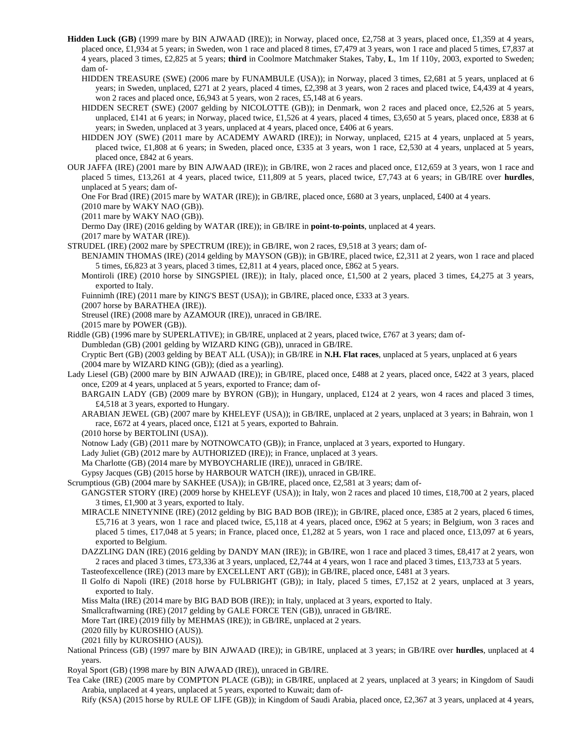- **Hidden Luck (GB)** (1999 mare by BIN AJWAAD (IRE)); in Norway, placed once, £2,758 at 3 years, placed once, £1,359 at 4 years, placed once, £1,934 at 5 years; in Sweden, won 1 race and placed 8 times, £7,479 at 3 years, won 1 race and placed 5 times, £7,837 at 4 years, placed 3 times, £2,825 at 5 years; **third** in Coolmore Matchmaker Stakes, Taby, **L**, 1m 1f 110y, 2003, exported to Sweden; dam of-
	- HIDDEN TREASURE (SWE) (2006 mare by FUNAMBULE (USA)); in Norway, placed 3 times, £2,681 at 5 years, unplaced at 6 years; in Sweden, unplaced, £271 at 2 years, placed 4 times, £2,398 at 3 years, won 2 races and placed twice, £4,439 at 4 years, won 2 races and placed once, £6,943 at 5 years, won 2 races, £5,148 at 6 years.
	- HIDDEN SECRET (SWE) (2007 gelding by NICOLOTTE (GB)); in Denmark, won 2 races and placed once, £2,526 at 5 years, unplaced, £141 at 6 years; in Norway, placed twice, £1,526 at 4 years, placed 4 times, £3,650 at 5 years, placed once, £838 at 6 years; in Sweden, unplaced at 3 years, unplaced at 4 years, placed once, £406 at 6 years.
	- HIDDEN JOY (SWE) (2011 mare by ACADEMY AWARD (IRE)); in Norway, unplaced, £215 at 4 years, unplaced at 5 years, placed twice, £1,808 at 6 years; in Sweden, placed once, £335 at 3 years, won 1 race, £2,530 at 4 years, unplaced at 5 years, placed once, £842 at 6 years.
- OUR JAFFA (IRE) (2001 mare by BIN AJWAAD (IRE)); in GB/IRE, won 2 races and placed once, £12,659 at 3 years, won 1 race and placed 5 times, £13,261 at 4 years, placed twice, £11,809 at 5 years, placed twice, £7,743 at 6 years; in GB/IRE over **hurdles**, unplaced at 5 years; dam of-

One For Brad (IRE) (2015 mare by WATAR (IRE)); in GB/IRE, placed once, £680 at 3 years, unplaced, £400 at 4 years.

(2010 mare by WAKY NAO (GB)).

(2011 mare by WAKY NAO (GB)).

Dermo Day (IRE) (2016 gelding by WATAR (IRE)); in GB/IRE in **point-to-points**, unplaced at 4 years.

(2017 mare by WATAR (IRE)).

- STRUDEL (IRE) (2002 mare by SPECTRUM (IRE)); in GB/IRE, won 2 races, £9,518 at 3 years; dam of-
	- BENJAMIN THOMAS (IRE) (2014 gelding by MAYSON (GB)); in GB/IRE, placed twice, £2,311 at 2 years, won 1 race and placed 5 times, £6,823 at 3 years, placed 3 times, £2,811 at 4 years, placed once, £862 at 5 years.
		- Montiroli (IRE) (2010 horse by SINGSPIEL (IRE)); in Italy, placed once, £1,500 at 2 years, placed 3 times, £4,275 at 3 years, exported to Italy.

Fuinnimh (IRE) (2011 mare by KING'S BEST (USA)); in GB/IRE, placed once, £333 at 3 years.

(2007 horse by BARATHEA (IRE)).

Streusel (IRE) (2008 mare by AZAMOUR (IRE)), unraced in GB/IRE.

(2015 mare by POWER (GB)).

Riddle (GB) (1996 mare by SUPERLATIVE); in GB/IRE, unplaced at 2 years, placed twice, £767 at 3 years; dam of-Dumbledan (GB) (2001 gelding by WIZARD KING (GB)), unraced in GB/IRE.

Cryptic Bert (GB) (2003 gelding by BEAT ALL (USA)); in GB/IRE in **N.H. Flat races**, unplaced at 5 years, unplaced at 6 years (2004 mare by WIZARD KING (GB)); (died as a yearling).

Lady Liesel (GB) (2000 mare by BIN AJWAAD (IRE)); in GB/IRE, placed once, £488 at 2 years, placed once, £422 at 3 years, placed once, £209 at 4 years, unplaced at 5 years, exported to France; dam of-

BARGAIN LADY (GB) (2009 mare by BYRON (GB)); in Hungary, unplaced, £124 at 2 years, won 4 races and placed 3 times, £4,518 at 3 years, exported to Hungary.

ARABIAN JEWEL (GB) (2007 mare by KHELEYF (USA)); in GB/IRE, unplaced at 2 years, unplaced at 3 years; in Bahrain, won 1 race, £672 at 4 years, placed once, £121 at 5 years, exported to Bahrain.

(2010 horse by BERTOLINI (USA)).

Notnow Lady (GB) (2011 mare by NOTNOWCATO (GB)); in France, unplaced at 3 years, exported to Hungary.

Lady Juliet (GB) (2012 mare by AUTHORIZED (IRE)); in France, unplaced at 3 years.

Ma Charlotte (GB) (2014 mare by MYBOYCHARLIE (IRE)), unraced in GB/IRE.

Gypsy Jacques (GB) (2015 horse by HARBOUR WATCH (IRE)), unraced in GB/IRE.

Scrumptious (GB) (2004 mare by SAKHEE (USA)); in GB/IRE, placed once, £2,581 at 3 years; dam of-

GANGSTER STORY (IRE) (2009 horse by KHELEYF (USA)); in Italy, won 2 races and placed 10 times, £18,700 at 2 years, placed 3 times, £1,900 at 3 years, exported to Italy.

- MIRACLE NINETYNINE (IRE) (2012 gelding by BIG BAD BOB (IRE)); in GB/IRE, placed once, £385 at 2 years, placed 6 times, £5,716 at 3 years, won 1 race and placed twice, £5,118 at 4 years, placed once, £962 at 5 years; in Belgium, won 3 races and placed 5 times, £17,048 at 5 years; in France, placed once, £1,282 at 5 years, won 1 race and placed once, £13,097 at 6 years, exported to Belgium.
- DAZZLING DAN (IRE) (2016 gelding by DANDY MAN (IRE)); in GB/IRE, won 1 race and placed 3 times, £8,417 at 2 years, won 2 races and placed 3 times, £73,336 at 3 years, unplaced, £2,744 at 4 years, won 1 race and placed 3 times, £13,733 at 5 years.

Tasteofexcellence (IRE) (2013 mare by EXCELLENT ART (GB)); in GB/IRE, placed once, £481 at 3 years.

Il Golfo di Napoli (IRE) (2018 horse by FULBRIGHT (GB)); in Italy, placed 5 times, £7,152 at 2 years, unplaced at 3 years, exported to Italy.

Miss Malta (IRE) (2014 mare by BIG BAD BOB (IRE)); in Italy, unplaced at 3 years, exported to Italy.

Smallcraftwarning (IRE) (2017 gelding by GALE FORCE TEN (GB)), unraced in GB/IRE.

More Tart (IRE) (2019 filly by MEHMAS (IRE)); in GB/IRE, unplaced at 2 years.

(2020 filly by KUROSHIO (AUS)).

(2021 filly by KUROSHIO (AUS)).

- National Princess (GB) (1997 mare by BIN AJWAAD (IRE)); in GB/IRE, unplaced at 3 years; in GB/IRE over **hurdles**, unplaced at 4 years.
- Royal Sport (GB) (1998 mare by BIN AJWAAD (IRE)), unraced in GB/IRE.

Tea Cake (IRE) (2005 mare by COMPTON PLACE (GB)); in GB/IRE, unplaced at 2 years, unplaced at 3 years; in Kingdom of Saudi Arabia, unplaced at 4 years, unplaced at 5 years, exported to Kuwait; dam of-

Rify (KSA) (2015 horse by RULE OF LIFE (GB)); in Kingdom of Saudi Arabia, placed once, £2,367 at 3 years, unplaced at 4 years,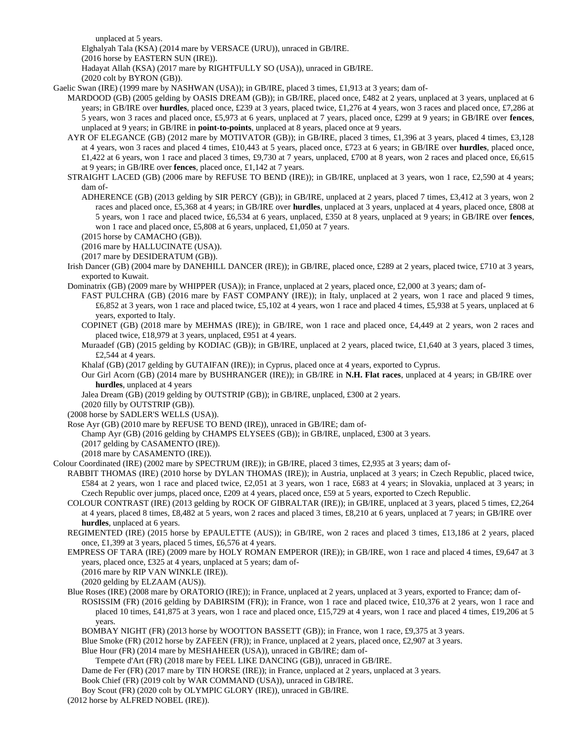unplaced at 5 years.

Elghalyah Tala (KSA) (2014 mare by VERSACE (URU)), unraced in GB/IRE.

(2016 horse by EASTERN SUN (IRE)).

Hadayat Allah (KSA) (2017 mare by RIGHTFULLY SO (USA)), unraced in GB/IRE.

(2020 colt by BYRON (GB)).

Gaelic Swan (IRE) (1999 mare by NASHWAN (USA)); in GB/IRE, placed 3 times, £1,913 at 3 years; dam of-

MARDOOD (GB) (2005 gelding by OASIS DREAM (GB)); in GB/IRE, placed once, £482 at 2 years, unplaced at 3 years, unplaced at 6 years; in GB/IRE over **hurdles**, placed once, £239 at 3 years, placed twice, £1,276 at 4 years, won 3 races and placed once, £7,286 at 5 years, won 3 races and placed once, £5,973 at 6 years, unplaced at 7 years, placed once, £299 at 9 years; in GB/IRE over **fences**, unplaced at 9 years; in GB/IRE in **point-to-points**, unplaced at 8 years, placed once at 9 years.

AYR OF ELEGANCE (GB) (2012 mare by MOTIVATOR (GB)); in GB/IRE, placed 3 times, £1,396 at 3 years, placed 4 times, £3,128 at 4 years, won 3 races and placed 4 times, £10,443 at 5 years, placed once, £723 at 6 years; in GB/IRE over **hurdles**, placed once, £1,422 at 6 years, won 1 race and placed 3 times, £9,730 at 7 years, unplaced, £700 at 8 years, won 2 races and placed once, £6,615 at 9 years; in GB/IRE over **fences**, placed once, £1,142 at 7 years.

STRAIGHT LACED (GB) (2006 mare by REFUSE TO BEND (IRE)); in GB/IRE, unplaced at 3 years, won 1 race, £2,590 at 4 years; dam of-

ADHERENCE (GB) (2013 gelding by SIR PERCY (GB)); in GB/IRE, unplaced at 2 years, placed 7 times, £3,412 at 3 years, won 2 races and placed once, £5,368 at 4 years; in GB/IRE over **hurdles**, unplaced at 3 years, unplaced at 4 years, placed once, £808 at 5 years, won 1 race and placed twice, £6,534 at 6 years, unplaced, £350 at 8 years, unplaced at 9 years; in GB/IRE over **fences**, won 1 race and placed once, £5,808 at 6 years, unplaced, £1,050 at 7 years.

(2015 horse by CAMACHO (GB)).

(2016 mare by HALLUCINATE (USA)).

(2017 mare by DESIDERATUM (GB)).

Irish Dancer (GB) (2004 mare by DANEHILL DANCER (IRE)); in GB/IRE, placed once, £289 at 2 years, placed twice, £710 at 3 years, exported to Kuwait.

Dominatrix (GB) (2009 mare by WHIPPER (USA)); in France, unplaced at 2 years, placed once, £2,000 at 3 years; dam of-

FAST PULCHRA (GB) (2016 mare by FAST COMPANY (IRE)); in Italy, unplaced at 2 years, won 1 race and placed 9 times, £6,852 at 3 years, won 1 race and placed twice, £5,102 at 4 years, won 1 race and placed 4 times, £5,938 at 5 years, unplaced at 6 years, exported to Italy.

- COPINET (GB) (2018 mare by MEHMAS (IRE)); in GB/IRE, won 1 race and placed once, £4,449 at 2 years, won 2 races and placed twice, £18,979 at 3 years, unplaced, £951 at 4 years.
- Muraadef (GB) (2015 gelding by KODIAC (GB)); in GB/IRE, unplaced at 2 years, placed twice, £1,640 at 3 years, placed 3 times, £2,544 at 4 years.

Khalaf (GB) (2017 gelding by GUTAIFAN (IRE)); in Cyprus, placed once at 4 years, exported to Cyprus.

Our Girl Acorn (GB) (2014 mare by BUSHRANGER (IRE)); in GB/IRE in **N.H. Flat races**, unplaced at 4 years; in GB/IRE over **hurdles**, unplaced at 4 years

Jalea Dream (GB) (2019 gelding by OUTSTRIP (GB)); in GB/IRE, unplaced, £300 at 2 years.

(2020 filly by OUTSTRIP (GB)).

(2008 horse by SADLER'S WELLS (USA)).

Rose Ayr (GB) (2010 mare by REFUSE TO BEND (IRE)), unraced in GB/IRE; dam of-

Champ Ayr (GB) (2016 gelding by CHAMPS ELYSEES (GB)); in GB/IRE, unplaced, £300 at 3 years.

(2017 gelding by CASAMENTO (IRE)).

(2018 mare by CASAMENTO (IRE)).

Colour Coordinated (IRE) (2002 mare by SPECTRUM (IRE)); in GB/IRE, placed 3 times, £2,935 at 3 years; dam of-

RABBIT THOMAS (IRE) (2010 horse by DYLAN THOMAS (IRE)); in Austria, unplaced at 3 years; in Czech Republic, placed twice, £584 at 2 years, won 1 race and placed twice, £2,051 at 3 years, won 1 race, £683 at 4 years; in Slovakia, unplaced at 3 years; in Czech Republic over jumps, placed once, £209 at 4 years, placed once, £59 at 5 years, exported to Czech Republic.

- COLOUR CONTRAST (IRE) (2013 gelding by ROCK OF GIBRALTAR (IRE)); in GB/IRE, unplaced at 3 years, placed 5 times, £2,264 at 4 years, placed 8 times, £8,482 at 5 years, won 2 races and placed 3 times, £8,210 at 6 years, unplaced at 7 years; in GB/IRE over **hurdles**, unplaced at 6 years.
- REGIMENTED (IRE) (2015 horse by EPAULETTE (AUS)); in GB/IRE, won 2 races and placed 3 times, £13,186 at 2 years, placed once, £1,399 at 3 years, placed 5 times, £6,576 at 4 years.
- EMPRESS OF TARA (IRE) (2009 mare by HOLY ROMAN EMPEROR (IRE)); in GB/IRE, won 1 race and placed 4 times, £9,647 at 3 years, placed once, £325 at 4 years, unplaced at 5 years; dam of-

(2016 mare by RIP VAN WINKLE (IRE)).

(2020 gelding by ELZAAM (AUS)).

Blue Roses (IRE) (2008 mare by ORATORIO (IRE)); in France, unplaced at 2 years, unplaced at 3 years, exported to France; dam of-ROSISSIM (FR) (2016 gelding by DABIRSIM (FR)); in France, won 1 race and placed twice, £10,376 at 2 years, won 1 race and placed 10 times, £41,875 at 3 years, won 1 race and placed once, £15,729 at 4 years, won 1 race and placed 4 times, £19,206 at 5 years.

BOMBAY NIGHT (FR) (2013 horse by WOOTTON BASSETT (GB)); in France, won 1 race, £9,375 at 3 years.

Blue Smoke (FR) (2012 horse by ZAFEEN (FR)); in France, unplaced at 2 years, placed once, £2,907 at 3 years.

Blue Hour (FR) (2014 mare by MESHAHEER (USA)), unraced in GB/IRE; dam of-

Tempete d'Art (FR) (2018 mare by FEEL LIKE DANCING (GB)), unraced in GB/IRE.

Dame de Fer (FR) (2017 mare by TIN HORSE (IRE)); in France, unplaced at 2 years, unplaced at 3 years.

Book Chief (FR) (2019 colt by WAR COMMAND (USA)), unraced in GB/IRE.

Boy Scout (FR) (2020 colt by OLYMPIC GLORY (IRE)), unraced in GB/IRE.

(2012 horse by ALFRED NOBEL (IRE)).